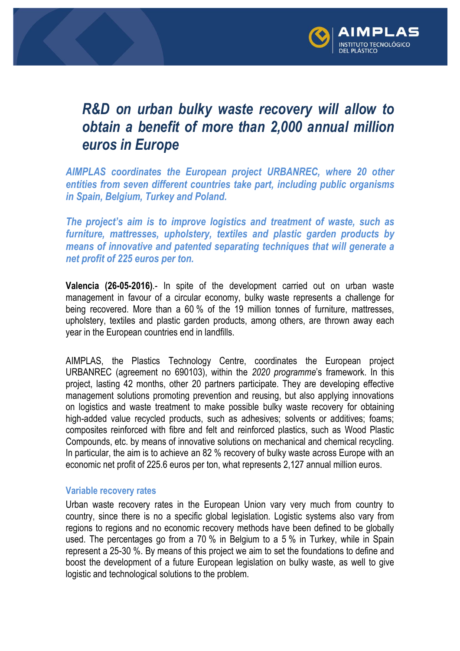

## *R&D on urban bulky waste recovery will allow to obtain a benefit of more than 2,000 annual million euros in Europe*

*AIMPLAS coordinates the European project URBANREC, where 20 other entities from seven different countries take part, including public organisms in Spain, Belgium, Turkey and Poland.*

*The project's aim is to improve logistics and treatment of waste, such as furniture, mattresses, upholstery, textiles and plastic garden products by means of innovative and patented separating techniques that will generate a net profit of 225 euros per ton.* 

**Valencia (26-05-2016)**.- In spite of the development carried out on urban waste management in favour of a circular economy, bulky waste represents a challenge for being recovered. More than a 60 % of the 19 million tonnes of furniture, mattresses, upholstery, textiles and plastic garden products, among others, are thrown away each year in the European countries end in landfills.

AIMPLAS, the Plastics Technology Centre, coordinates the European project URBANREC (agreement no 690103), within the *2020 programme*'s framework. In this project, lasting 42 months, other 20 partners participate. They are developing effective management solutions promoting prevention and reusing, but also applying innovations on logistics and waste treatment to make possible bulky waste recovery for obtaining high-added value recycled products, such as adhesives; solvents or additives; foams; composites reinforced with fibre and felt and reinforced plastics, such as Wood Plastic Compounds, etc. by means of innovative solutions on mechanical and chemical recycling. In particular, the aim is to achieve an 82 % recovery of bulky waste across Europe with an economic net profit of 225.6 euros per ton, what represents 2,127 annual million euros.

## **Variable recovery rates**

Urban waste recovery rates in the European Union vary very much from country to country, since there is no a specific global legislation. Logistic systems also vary from regions to regions and no economic recovery methods have been defined to be globally used. The percentages go from a 70 % in Belgium to a 5 % in Turkey, while in Spain represent a 25-30 %. By means of this project we aim to set the foundations to define and boost the development of a future European legislation on bulky waste, as well to give logistic and technological solutions to the problem.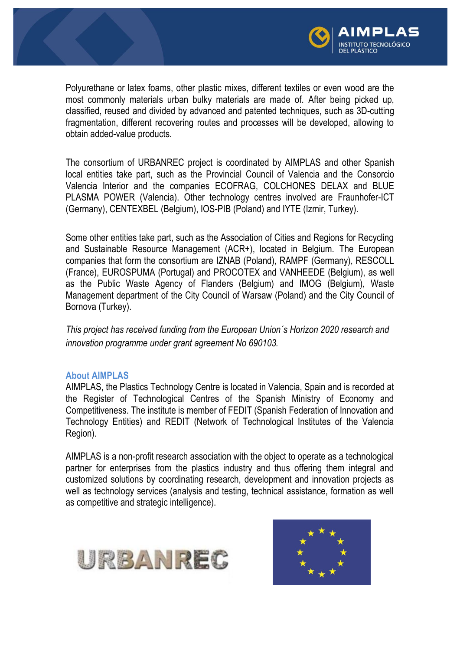

Polyurethane or latex foams, other plastic mixes, different textiles or even wood are the most commonly materials urban bulky materials are made of. After being picked up, classified, reused and divided by advanced and patented techniques, such as 3D-cutting fragmentation, different recovering routes and processes will be developed, allowing to obtain added-value products.

The consortium of URBANREC project is coordinated by AIMPLAS and other Spanish local entities take part, such as the Provincial Council of Valencia and the Consorcio Valencia Interior and the companies ECOFRAG, COLCHONES DELAX and BLUE PLASMA POWER (Valencia). Other technology centres involved are Fraunhofer-ICT (Germany), CENTEXBEL (Belgium), IOS-PIB (Poland) and IYTE (Izmir, Turkey).

Some other entities take part, such as the Association of Cities and Regions for Recycling and Sustainable Resource Management (ACR+), located in Belgium. The European companies that form the consortium are IZNAB (Poland), RAMPF (Germany), RESCOLL (France), EUROSPUMA (Portugal) and PROCOTEX and VANHEEDE (Belgium), as well as the Public Waste Agency of Flanders (Belgium) and IMOG (Belgium), Waste Management department of the City Council of Warsaw (Poland) and the City Council of Bornova (Turkey).

*This project has received funding from the European Union´s Horizon 2020 research and innovation programme under grant agreement No 690103.*

## **About AIMPLAS**

AIMPLAS, the Plastics Technology Centre is located in Valencia, Spain and is recorded at the Register of Technological Centres of the Spanish Ministry of Economy and Competitiveness. The institute is member of FEDIT (Spanish Federation of Innovation and Technology Entities) and REDIT (Network of Technological Institutes of the Valencia Region).

AIMPLAS is a non-profit research association with the object to operate as a technological partner for enterprises from the plastics industry and thus offering them integral and customized solutions by coordinating research, development and innovation projects as well as technology services (analysis and testing, technical assistance, formation as well as competitive and strategic intelligence).